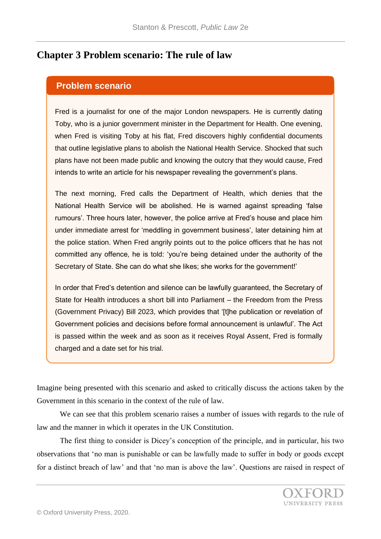## **Chapter 3 Problem scenario: The rule of law**

## **Problem scenario**

Fred is a journalist for one of the major London newspapers. He is currently dating Toby, who is a junior government minister in the Department for Health. One evening, when Fred is visiting Toby at his flat, Fred discovers highly confidential documents that outline legislative plans to abolish the National Health Service. Shocked that such plans have not been made public and knowing the outcry that they would cause, Fred intends to write an article for his newspaper revealing the government's plans.

The next morning, Fred calls the Department of Health, which denies that the National Health Service will be abolished. He is warned against spreading 'false rumours'. Three hours later, however, the police arrive at Fred's house and place him under immediate arrest for 'meddling in government business', later detaining him at the police station. When Fred angrily points out to the police officers that he has not committed any offence, he is told: 'you're being detained under the authority of the Secretary of State. She can do what she likes; she works for the government!'

In order that Fred's detention and silence can be lawfully guaranteed, the Secretary of State for Health introduces a short bill into Parliament – the Freedom from the Press (Government Privacy) Bill 2023, which provides that '[t]he publication or revelation of Government policies and decisions before formal announcement is unlawful'. The Act is passed within the week and as soon as it receives Royal Assent, Fred is formally charged and a date set for his trial.

Imagine being presented with this scenario and asked to critically discuss the actions taken by the Government in this scenario in the context of the rule of law.

We can see that this problem scenario raises a number of issues with regards to the rule of law and the manner in which it operates in the UK Constitution.

The first thing to consider is Dicey's conception of the principle, and in particular, his two observations that 'no man is punishable or can be lawfully made to suffer in body or goods except for a distinct breach of law' and that 'no man is above the law'. Questions are raised in respect of